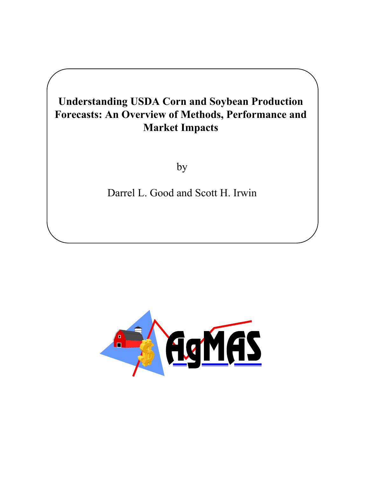by

Darrel L. Good and Scott H. Irwin

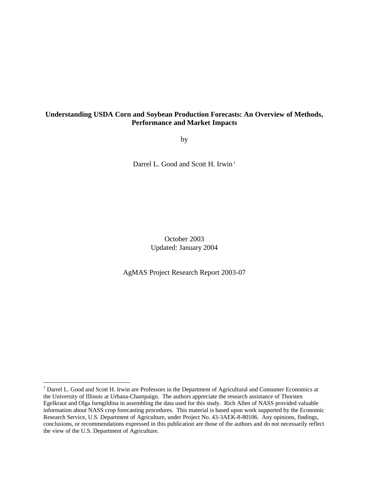by

Darrel L. Good and Scott H. Irwin<sup>1</sup>

October 2003 Updated: January 2004

AgMAS Project Research Report 2003-07

1

<sup>&</sup>lt;sup>1</sup> Darrel L. Good and Scott H. Irwin are Professors in the Department of Agricultural and Consumer Economics at the University of Illinois at Urbana-Champaign. The authors appreciate the research assistance of Thorsten Egelkraut and Olga Isengildina in assembling the data used for this study. Rich Allen of NASS provided valuable information about NASS crop forecasting procedures. This material is based upon work supported by the Economic Research Service, U.S. Department of Agriculture, under Project No. 43-3AEK-8-80106. Any opinions, findings, conclusions, or recommendations expressed in this publication are those of the authors and do not necessarily reflect the view of the U.S. Department of Agriculture.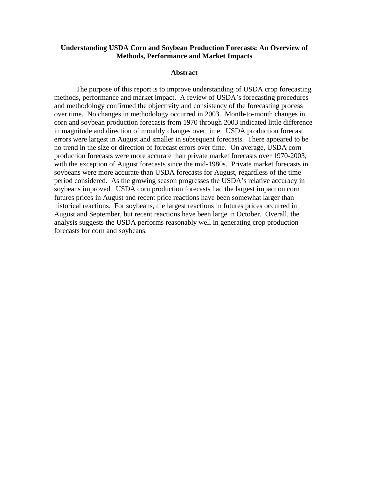## **Abstract**

The purpose of this report is to improve understanding of USDA crop forecasting methods, performance and market impact. A review of USDA's forecasting procedures and methodology confirmed the objectivity and consistency of the forecasting process over time. No changes in methodology occurred in 2003. Month-to-month changes in corn and soybean production forecasts from 1970 through 2003 indicated little difference in magnitude and direction of monthly changes over time. USDA production forecast errors were largest in August and smaller in subsequent forecasts. There appeared to be no trend in the size or direction of forecast errors over time. On average, USDA corn production forecasts were more accurate than private market forecasts over 1970-2003, with the exception of August forecasts since the mid-1980s. Private market forecasts in soybeans were more accurate than USDA forecasts for August, regardless of the time period considered. As the growing season progresses the USDA's relative accuracy in soybeans improved. USDA corn production forecasts had the largest impact on corn futures prices in August and recent price reactions have been somewhat larger than historical reactions. For soybeans, the largest reactions in futures prices occurred in August and September, but recent reactions have been large in October. Overall, the analysis suggests the USDA performs reasonably well in generating crop production forecasts for corn and soybeans.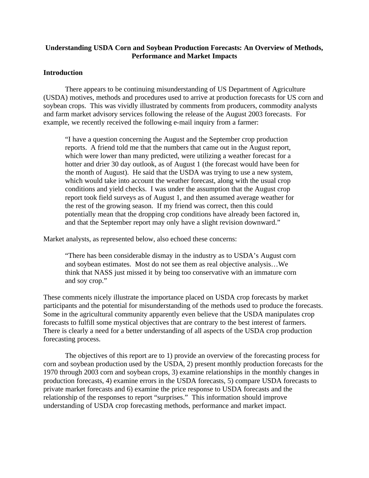# **Introduction**

There appears to be continuing misunderstanding of US Department of Agriculture (USDA) motives, methods and procedures used to arrive at production forecasts for US corn and soybean crops. This was vividly illustrated by comments from producers, commodity analysts and farm market advisory services following the release of the August 2003 forecasts. For example, we recently received the following e-mail inquiry from a farmer:

"I have a question concerning the August and the September crop production reports. A friend told me that the numbers that came out in the August report, which were lower than many predicted, were utilizing a weather forecast for a hotter and drier 30 day outlook, as of August 1 (the forecast would have been for the month of August). He said that the USDA was trying to use a new system, which would take into account the weather forecast, along with the usual crop conditions and yield checks. I was under the assumption that the August crop report took field surveys as of August 1, and then assumed average weather for the rest of the growing season. If my friend was correct, then this could potentially mean that the dropping crop conditions have already been factored in, and that the September report may only have a slight revision downward."

Market analysts, as represented below, also echoed these concerns:

"There has been considerable dismay in the industry as to USDA's August corn and soybean estimates. Most do not see them as real objective analysis…We think that NASS just missed it by being too conservative with an immature corn and soy crop."

These comments nicely illustrate the importance placed on USDA crop forecasts by market participants and the potential for misunderstanding of the methods used to produce the forecasts. Some in the agricultural community apparently even believe that the USDA manipulates crop forecasts to fulfill some mystical objectives that are contrary to the best interest of farmers. There is clearly a need for a better understanding of all aspects of the USDA crop production forecasting process.

The objectives of this report are to 1) provide an overview of the forecasting process for corn and soybean production used by the USDA, 2) present monthly production forecasts for the 1970 through 2003 corn and soybean crops, 3) examine relationships in the monthly changes in production forecasts, 4) examine errors in the USDA forecasts, 5) compare USDA forecasts to private market forecasts and 6) examine the price response to USDA forecasts and the relationship of the responses to report "surprises." This information should improve understanding of USDA crop forecasting methods, performance and market impact.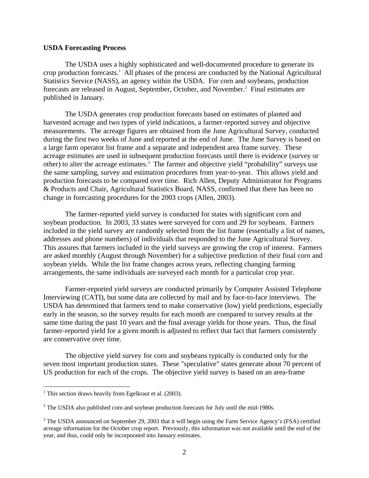# **USDA Forecasting Process**

The USDA uses a highly sophisticated and well-documented procedure to generate its crop production forecasts.<sup>1</sup> All phases of the process are conducted by the National Agricultural Statistics Service (NASS), an agency within the USDA. For corn and soybeans, production forecasts are released in August, September, October, and November.<sup>2</sup> Final estimates are published in January.

The USDA generates crop production forecasts based on estimates of planted and harvested acreage and two types of yield indications, a farmer-reported survey and objective measurements. The acreage figures are obtained from the June Agricultural Survey, conducted during the first two weeks of June and reported at the end of June. The June Survey is based on a large farm operator list frame and a separate and independent area frame survey. These acreage estimates are used in subsequent production forecasts until there is evidence (survey or other) to alter the acreage estimates.<sup>3</sup> The farmer and objective yield "probability" surveys use the same sampling, survey and estimation procedures from year-to-year. This allows yield and production forecasts to be compared over time. Rich Allen, Deputy Administrator for Programs & Products and Chair, Agricultural Statistics Board, NASS, confirmed that there has been no change in forecasting procedures for the 2003 crops (Allen, 2003).

The farmer-reported yield survey is conducted for states with significant corn and soybean production. In 2003, 33 states were surveyed for corn and 29 for soybeans. Farmers included in the yield survey are randomly selected from the list frame (essentially a list of names, addresses and phone numbers) of individuals that responded to the June Agricultural Survey. This assures that farmers included in the yield surveys are growing the crop of interest. Farmers are asked monthly (August through November) for a subjective prediction of their final corn and soybean yields. While the list frame changes across years, reflecting changing farming arrangements, the same individuals are surveyed each month for a particular crop year.

Farmer-reported yield surveys are conducted primarily by Computer Assisted Telephone Interviewing (CATI), but some data are collected by mail and by face-to-face interviews. The USDA has determined that farmers tend to make conservative (low) yield predictions, especially early in the season, so the survey results for each month are compared to survey results at the same time during the past 10 years and the final average yields for those years. Thus, the final farmer-reported yield for a given month is adjusted to reflect that fact that farmers consistently are conservative over time.

The objective yield survey for corn and soybeans typically is conducted only for the seven most important production states. These "speculative" states generate about 70 percent of US production for each of the crops. The objective yield survey is based on an area-frame

<sup>&</sup>lt;sup>1</sup> This section draws heavily from Egelkraut et al. (2003).

 $2^2$  The USDA also published corn and soybean production forecasts for July until the mid-1980s.

<sup>&</sup>lt;sup>3</sup> The USDA announced on September 29, 2003 that it will begin using the Farm Service Agency's (FSA) certified acreage information for the October crop report. Previously, this information was not available until the end of the year, and thus, could only be incorporated into January estimates.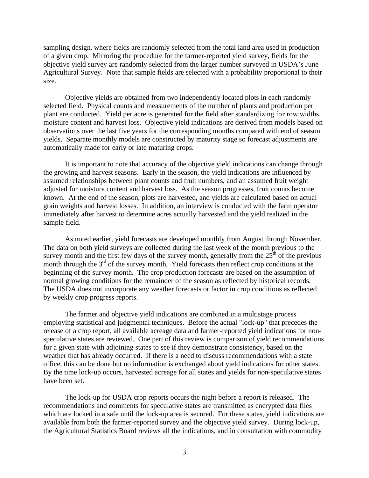sampling design, where fields are randomly selected from the total land area used in production of a given crop. Mirroring the procedure for the farmer-reported yield survey, fields for the objective yield survey are randomly selected from the larger number surveyed in USDA's June Agricultural Survey. Note that sample fields are selected with a probability proportional to their size.

Objective yields are obtained from two independently located plots in each randomly selected field. Physical counts and measurements of the number of plants and production per plant are conducted. Yield per acre is generated for the field after standardizing for row widths, moisture content and harvest loss. Objective yield indications are derived from models based on observations over the last five years for the corresponding months compared with end of season yields. Separate monthly models are constructed by maturity stage so forecast adjustments are automatically made for early or late maturing crops.

It is important to note that accuracy of the objective yield indications can change through the growing and harvest seasons. Early in the season, the yield indications are influenced by assumed relationships between plant counts and fruit numbers, and an assumed fruit weight adjusted for moisture content and harvest loss. As the season progresses, fruit counts become known. At the end of the season, plots are harvested, and yields are calculated based on actual grain weights and harvest losses. In addition, an interview is conducted with the farm operator immediately after harvest to determine acres actually harvested and the yield realized in the sample field.

As noted earlier, yield forecasts are developed monthly from August through November. The data on both yield surveys are collected during the last week of the month previous to the survey month and the first few days of the survey month, generally from the  $25<sup>th</sup>$  of the previous month through the  $3<sup>rd</sup>$  of the survey month. Yield forecasts then reflect crop conditions at the beginning of the survey month. The crop production forecasts are based on the assumption of normal growing conditions for the remainder of the season as reflected by historical records. The USDA does not incorporate any weather forecasts or factor in crop conditions as reflected by weekly crop progress reports.

The farmer and objective yield indications are combined in a multistage process employing statistical and judgmental techniques. Before the actual "lock-up" that precedes the release of a crop report, all available acreage data and farmer-reported yield indications for nonspeculative states are reviewed. One part of this review is comparison of yield recommendations for a given state with adjoining states to see if they demonstrate consistency, based on the weather that has already occurred. If there is a need to discuss recommendations with a state office, this can be done but no information is exchanged about yield indications for other states. By the time lock-up occurs, harvested acreage for all states and yields for non-speculative states have been set.

The lock-up for USDA crop reports occurs the night before a report is released. The recommendations and comments for speculative states are transmitted as encrypted data files which are locked in a safe until the lock-up area is secured. For these states, yield indications are available from both the farmer-reported survey and the objective yield survey. During lock-up, the Agricultural Statistics Board reviews all the indications, and in consultation with commodity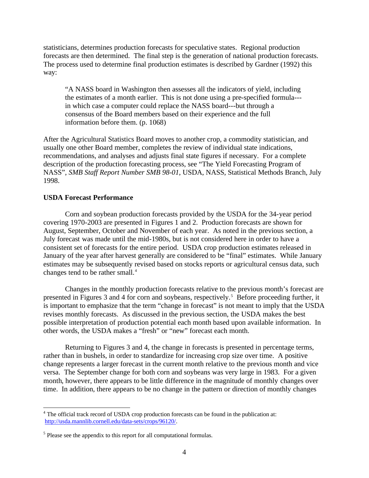statisticians, determines production forecasts for speculative states. Regional production forecasts are then determined. The final step is the generation of national production forecasts. The process used to determine final production estimates is described by Gardner (1992) this way:

"A NASS board in Washington then assesses all the indicators of yield, including the estimates of a month earlier. This is not done using a pre-specified formula-- in which case a computer could replace the NASS board---but through a consensus of the Board members based on their experience and the full information before them. (p. 1068)

After the Agricultural Statistics Board moves to another crop, a commodity statistician, and usually one other Board member, completes the review of individual state indications, recommendations, and analyses and adjusts final state figures if necessary. For a complete description of the production forecasting process, see "The Yield Forecasting Program of NASS", *SMB Staff Report Number SMB 98-01*, USDA, NASS, Statistical Methods Branch, July 1998.

# **USDA Forecast Performance**

 $\overline{a}$ 

Corn and soybean production forecasts provided by the USDA for the 34-year period covering 1970-2003 are presented in Figures 1 and 2. Production forecasts are shown for August, September, October and November of each year. As noted in the previous section, a July forecast was made until the mid-1980s, but is not considered here in order to have a consistent set of forecasts for the entire period. USDA crop production estimates released in January of the year after harvest generally are considered to be "final" estimates. While January estimates may be subsequently revised based on stocks reports or agricultural census data, such changes tend to be rather small.<sup>4</sup>

Changes in the monthly production forecasts relative to the previous month's forecast are presented in Figures 3 and 4 for corn and soybeans, respectively.<sup>5</sup> Before proceeding further, it is important to emphasize that the term "change in forecast" is not meant to imply that the USDA revises monthly forecasts. As discussed in the previous section, the USDA makes the best possible interpretation of production potential each month based upon available information. In other words, the USDA makes a "fresh" or "new" forecast each month.

Returning to Figures 3 and 4, the change in forecasts is presented in percentage terms, rather than in bushels, in order to standardize for increasing crop size over time. A positive change represents a larger forecast in the current month relative to the previous month and vice versa. The September change for both corn and soybeans was very large in 1983. For a given month, however, there appears to be little difference in the magnitude of monthly changes over time. In addition, there appears to be no change in the pattern or direction of monthly changes

<sup>&</sup>lt;sup>4</sup> The official track record of USDA crop production forecasts can be found in the publication at: [http://usda.mannlib.cornell.edu/data-sets/crops/96120/.](http://usda.mannlib.cornell.edu/data-sets/crops/96120/)

<sup>&</sup>lt;sup>5</sup> Please see the appendix to this report for all computational formulas.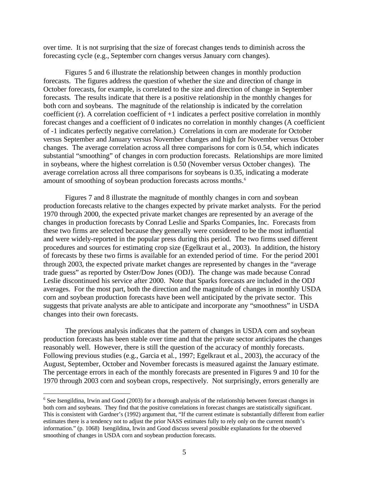over time. It is not surprising that the size of forecast changes tends to diminish across the forecasting cycle (e.g., September corn changes versus January corn changes).

Figures 5 and 6 illustrate the relationship between changes in monthly production forecasts. The figures address the question of whether the size and direction of change in October forecasts, for example, is correlated to the size and direction of change in September forecasts. The results indicate that there is a positive relationship in the monthly changes for both corn and soybeans. The magnitude of the relationship is indicated by the correlation coefficient (r). A correlation coefficient of +1 indicates a perfect positive correlation in monthly forecast changes and a coefficient of 0 indicates no correlation in monthly changes (A coefficient of -1 indicates perfectly negative correlation.) Correlations in corn are moderate for October versus September and January versus November changes and high for November versus October changes. The average correlation across all three comparisons for corn is 0.54, which indicates substantial "smoothing" of changes in corn production forecasts. Relationships are more limited in soybeans, where the highest correlation is 0.50 (November versus October changes). The average correlation across all three comparisons for soybeans is 0.35, indicating a moderate amount of smoothing of soybean production forecasts across months. 6

Figures 7 and 8 illustrate the magnitude of monthly changes in corn and soybean production forecasts relative to the changes expected by private market analysts. For the period 1970 through 2000, the expected private market changes are represented by an average of the changes in production forecasts by Conrad Leslie and Sparks Companies, Inc. Forecasts from these two firms are selected because they generally were considered to be the most influential and were widely-reported in the popular press during this period. The two firms used different procedures and sources for estimating crop size (Egelkraut et al., 2003). In addition, the history of forecasts by these two firms is available for an extended period of time. For the period 2001 through 2003, the expected private market changes are represented by changes in the "average trade guess" as reported by Oster/Dow Jones (ODJ). The change was made because Conrad Leslie discontinued his service after 2000. Note that Sparks forecasts are included in the ODJ averages. For the most part, both the direction and the magnitude of changes in monthly USDA corn and soybean production forecasts have been well anticipated by the private sector. This suggests that private analysts are able to anticipate and incorporate any "smoothness" in USDA changes into their own forecasts.

The previous analysis indicates that the pattern of changes in USDA corn and soybean production forecasts has been stable over time and that the private sector anticipates the changes reasonably well. However, there is still the question of the accuracy of monthly forecasts. Following previous studies (e.g., Garcia et al., 1997; Egelkraut et al., 2003), the accuracy of the August, September, October and November forecasts is measured against the January estimate. The percentage errors in each of the monthly forecasts are presented in Figures 9 and 10 for the 1970 through 2003 corn and soybean crops, respectively. Not surprisingly, errors generally are

1

<sup>&</sup>lt;sup>6</sup> See Isengildina, Irwin and Good (2003) for a thorough analysis of the relationship between forecast changes in both corn and soybeans. They find that the positive correlations in forecast changes are statistically significant. This is consistent with Gardner's (1992) argument that, "If the current estimate is substantially different from earlier estimates there is a tendency not to adjust the prior NASS estimates fully to rely only on the current month's information." (p. 1068) Isengildina, Irwin and Good discuss several possible explanations for the observed smoothing of changes in USDA corn and soybean production forecasts.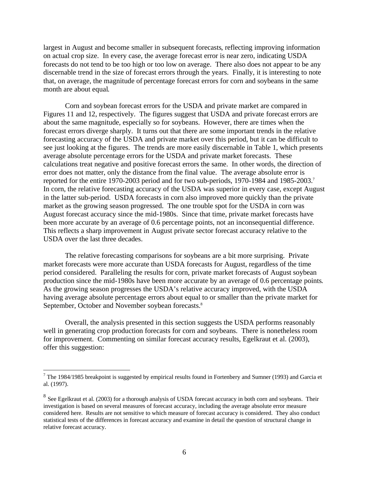largest in August and become smaller in subsequent forecasts, reflecting improving information on actual crop size. In every case, the average forecast error is near zero, indicating USDA forecasts do not tend to be too high or too low on average. There also does not appear to be any discernable trend in the size of forecast errors through the years. Finally, it is interesting to note that, on average, the magnitude of percentage forecast errors for corn and soybeans in the same month are about equal.

Corn and soybean forecast errors for the USDA and private market are compared in Figures 11 and 12, respectively. The figures suggest that USDA and private forecast errors are about the same magnitude, especially so for soybeans. However, there are times when the forecast errors diverge sharply. It turns out that there are some important trends in the relative forecasting accuracy of the USDA and private market over this period, but it can be difficult to see just looking at the figures. The trends are more easily discernable in Table 1, which presents average absolute percentage errors for the USDA and private market forecasts. These calculations treat negative and positive forecast errors the same. In other words, the direction of error does not matter, only the distance from the final value. The average absolute error is reported for the entire 1970-2003 period and for two sub-periods, 1970-1984 and 1985-2003. 7 In corn, the relative forecasting accuracy of the USDA was superior in every case, except August in the latter sub-period. USDA forecasts in corn also improved more quickly than the private market as the growing season progressed. The one trouble spot for the USDA in corn was August forecast accuracy since the mid-1980s. Since that time, private market forecasts have been more accurate by an average of 0.6 percentage points, not an inconsequential difference. This reflects a sharp improvement in August private sector forecast accuracy relative to the USDA over the last three decades.

The relative forecasting comparisons for soybeans are a bit more surprising. Private market forecasts were more accurate than USDA forecasts for August, regardless of the time period considered. Paralleling the results for corn, private market forecasts of August soybean production since the mid-1980s have been more accurate by an average of 0.6 percentage points. As the growing season progresses the USDA's relative accuracy improved, with the USDA having average absolute percentage errors about equal to or smaller than the private market for September, October and November soybean forecasts.<sup>8</sup>

Overall, the analysis presented in this section suggests the USDA performs reasonably well in generating crop production forecasts for corn and soybeans. There is nonetheless room for improvement. Commenting on similar forecast accuracy results, Egelkraut et al. (2003), offer this suggestion:

<u>.</u>

 $7$  The 1984/1985 breakpoint is suggested by empirical results found in Fortenbery and Sumner (1993) and Garcia et al. (1997).

 $8$  See Egelkraut et al. (2003) for a thorough analysis of USDA forecast accuracy in both corn and soybeans. Their investigation is based on several measures of forecast accuracy, including the average absolute error measure considered here. Results are not sensitive to which measure of forecast accuracy is considered. They also conduct statistical tests of the differences in forecast accuracy and examine in detail the question of structural change in relative forecast accuracy.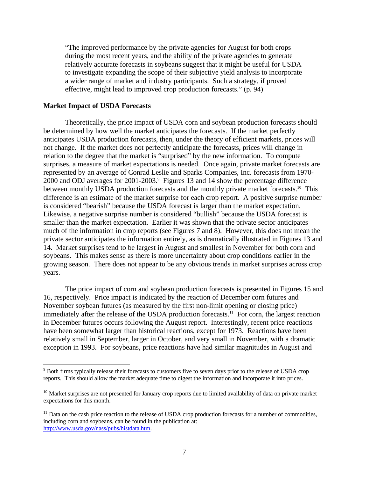"The improved performance by the private agencies for August for both crops during the most recent years, and the ability of the private agencies to generate relatively accurate forecasts in soybeans suggest that it might be useful for USDA to investigate expanding the scope of their subjective yield analysis to incorporate a wider range of market and industry participants. Such a strategy, if proved effective, might lead to improved crop production forecasts." (p. 94)

# **Market Impact of USDA Forecasts**

 $\overline{a}$ 

Theoretically, the price impact of USDA corn and soybean production forecasts should be determined by how well the market anticipates the forecasts. If the market perfectly anticipates USDA production forecasts, then, under the theory of efficient markets, prices will not change. If the market does not perfectly anticipate the forecasts, prices will change in relation to the degree that the market is "surprised" by the new information. To compute surprises, a measure of market expectations is needed. Once again, private market forecasts are represented by an average of Conrad Leslie and Sparks Companies, Inc. forecasts from 1970- 2000 and ODJ averages for 2001-2003. 9 Figures 13 and 14 show the percentage difference between monthly USDA production forecasts and the monthly private market forecasts.<sup>10</sup> This difference is an estimate of the market surprise for each crop report. A positive surprise number is considered "bearish" because the USDA forecast is larger than the market expectation. Likewise, a negative surprise number is considered "bullish" because the USDA forecast is smaller than the market expectation. Earlier it was shown that the private sector anticipates much of the information in crop reports (see Figures 7 and 8). However, this does not mean the private sector anticipates the information entirely, as is dramatically illustrated in Figures 13 and 14. Market surprises tend to be largest in August and smallest in November for both corn and soybeans. This makes sense as there is more uncertainty about crop conditions earlier in the growing season. There does not appear to be any obvious trends in market surprises across crop years.

The price impact of corn and soybean production forecasts is presented in Figures 15 and 16, respectively. Price impact is indicated by the reaction of December corn futures and November soybean futures (as measured by the first non-limit opening or closing price) immediately after the release of the USDA production forecasts.<sup>11</sup> For corn, the largest reaction in December futures occurs following the August report. Interestingly, recent price reactions have been somewhat larger than historical reactions, except for 1973. Reactions have been relatively small in September, larger in October, and very small in November, with a dramatic exception in 1993. For soybeans, price reactions have had similar magnitudes in August and

<sup>&</sup>lt;sup>9</sup> Both firms typically release their forecasts to customers five to seven days prior to the release of USDA crop reports. This should allow the market adequate time to digest the information and incorporate it into prices.

 $10$  Market surprises are not presented for January crop reports due to limited availability of data on private market expectations for this month.

 $11$  Data on the cash price reaction to the release of USDA crop production forecasts for a number of commodities, including corn and soybeans, can be found in the publication at: [http://www.usda.gov/nass/pubs/histdata.htm.](http://www.usda.gov/nass/pubs/histdata.htm)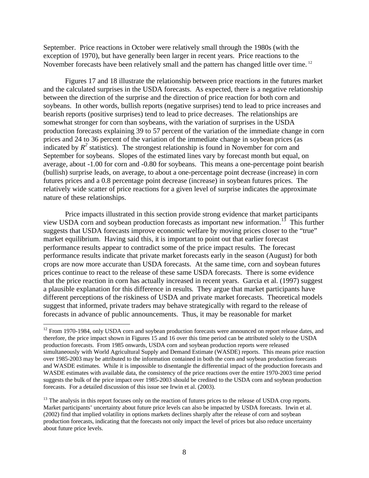September. Price reactions in October were relatively small through the 1980s (with the exception of 1970), but have generally been larger in recent years. Price reactions to the November forecasts have been relatively small and the pattern has changed little over time.<sup>12</sup>

Figures 17 and 18 illustrate the relationship between price reactions in the futures market and the calculated surprises in the USDA forecasts. As expected, there is a negative relationship between the direction of the surprise and the direction of price reaction for both corn and soybeans. In other words, bullish reports (negative surprises) tend to lead to price increases and bearish reports (positive surprises) tend to lead to price decreases. The relationships are somewhat stronger for corn than soybeans, with the variation of surprises in the USDA production forecasts explaining 39 to 57 percent of the variation of the immediate change in corn prices and 24 to 36 percent of the variation of the immediate change in soybean prices (as indicated by  $R^2$  statistics). The strongest relationship is found in November for corn and September for soybeans. Slopes of the estimated lines vary by forecast month but equal, on average, about -1.00 for corn and -0.80 for soybeans. This means a one-percentage point bearish (bullish) surprise leads, on average, to about a one-percentage point decrease (increase) in corn futures prices and a 0.8 percentage point decrease (increase) in soybean futures prices. The relatively wide scatter of price reactions for a given level of surprise indicates the approximate nature of these relationships.

Price impacts illustrated in this section provide strong evidence that market participants view USDA corn and soybean production forecasts as important new information.<sup>13</sup> This further suggests that USDA forecasts improve economic welfare by moving prices closer to the "true" market equilibrium. Having said this, it is important to point out that earlier forecast performance results appear to contradict some of the price impact results. The forecast performance results indicate that private market forecasts early in the season (August) for both crops are now more accurate than USDA forecasts. At the same time, corn and soybean futures prices continue to react to the release of these same USDA forecasts. There is some evidence that the price reaction in corn has actually increased in recent years. Garcia et al. (1997) suggest a plausible explanation for this difference in results. They argue that market participants have different perceptions of the riskiness of USDA and private market forecasts. Theoretical models suggest that informed, private traders may behave strategically with regard to the release of forecasts in advance of public announcements. Thus, it may be reasonable for market

1

<sup>&</sup>lt;sup>12</sup> From 1970-1984, only USDA corn and soybean production forecasts were announced on report release dates, and therefore, the price impact shown in Figures 15 and 16 over this time period can be attributed solely to the USDA production forecasts. From 1985 onwards, USDA corn and soybean production reports were released simultaneously with World Agricultural Supply and Demand Estimate (WASDE) reports. This means price reaction over 1985-2003 may be attributed to the information contained in both the corn and soybean production forecasts and WASDE estimates. While it is impossible to disentangle the differential impact of the production forecasts and WASDE estimates with available data, the consistency of the price reactions over the entire 1970-2003 time period suggests the bulk of the price impact over 1985-2003 should be credited to the USDA corn and soybean production forecasts. For a detailed discussion of this issue see Irwin et al. (2003).

<sup>&</sup>lt;sup>13</sup> The analysis in this report focuses only on the reaction of futures prices to the release of USDA crop reports. Market participants' uncertainty about future price levels can also be impacted by USDA forecasts. Irwin et al. (2002) find that implied volatility in options markets declines sharply after the release of corn and soybean production forecasts, indicating that the forecasts not only impact the level of prices but also reduce uncertainty about future price levels.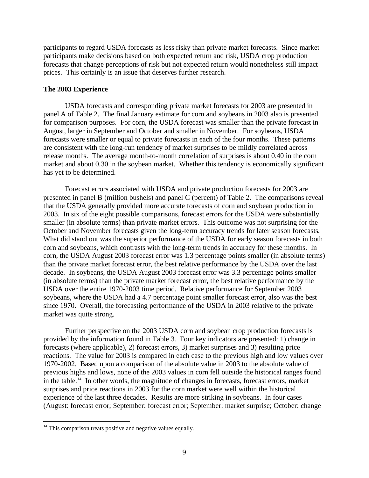participants to regard USDA forecasts as less risky than private market forecasts. Since market participants make decisions based on both expected return and risk, USDA crop production forecasts that change perceptions of risk but not expected return would nonetheless still impact prices. This certainly is an issue that deserves further research.

# **The 2003 Experience**

USDA forecasts and corresponding private market forecasts for 2003 are presented in panel A of Table 2. The final January estimate for corn and soybeans in 2003 also is presented for comparison purposes. For corn, the USDA forecast was smaller than the private forecast in August, larger in September and October and smaller in November. For soybeans, USDA forecasts were smaller or equal to private forecasts in each of the four months. These patterns are consistent with the long-run tendency of market surprises to be mildly correlated across release months. The average month-to-month correlation of surprises is about 0.40 in the corn market and about 0.30 in the soybean market. Whether this tendency is economically significant has yet to be determined.

Forecast errors associated with USDA and private production forecasts for 2003 are presented in panel B (million bushels) and panel C (percent) of Table 2. The comparisons reveal that the USDA generally provided more accurate forecasts of corn and soybean production in 2003. In six of the eight possible comparisons, forecast errors for the USDA were substantially smaller (in absolute terms) than private market errors. This outcome was not surprising for the October and November forecasts given the long-term accuracy trends for later season forecasts. What did stand out was the superior performance of the USDA for early season forecasts in both corn and soybeans, which contrasts with the long-term trends in accuracy for these months. In corn, the USDA August 2003 forecast error was 1.3 percentage points smaller (in absolute terms) than the private market forecast error, the best relative performance by the USDA over the last decade. In soybeans, the USDA August 2003 forecast error was 3.3 percentage points smaller (in absolute terms) than the private market forecast error, the best relative performance by the USDA over the entire 1970-2003 time period. Relative performance for September 2003 soybeans, where the USDA had a 4.7 percentage point smaller forecast error, also was the best since 1970. Overall, the forecasting performance of the USDA in 2003 relative to the private market was quite strong.

Further perspective on the 2003 USDA corn and soybean crop production forecasts is provided by the information found in Table 3. Four key indicators are presented: 1) change in forecasts (where applicable), 2) forecast errors, 3) market surprises and 3) resulting price reactions. The value for 2003 is compared in each case to the previous high and low values over 1970-2002. Based upon a comparison of the absolute value in 2003 to the absolute value of previous highs and lows, none of the 2003 values in corn fell outside the historical ranges found in the table.<sup>14</sup> In other words, the magnitude of changes in forecasts, forecast errors, market surprises and price reactions in 2003 for the corn market were well within the historical experience of the last three decades. Results are more striking in soybeans. In four cases (August: forecast error; September: forecast error; September: market surprise; October: change

<u>.</u>

 $14$  This comparison treats positive and negative values equally.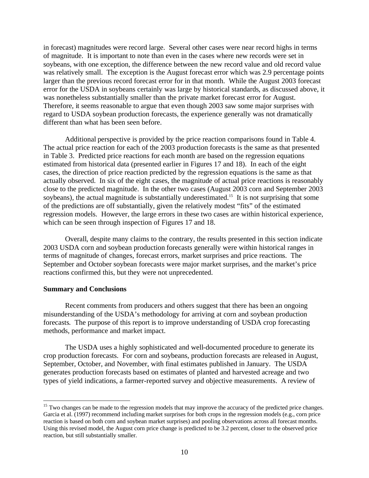in forecast) magnitudes were record large. Several other cases were near record highs in terms of magnitude. It is important to note than even in the cases where new records were set in soybeans, with one exception, the difference between the new record value and old record value was relatively small. The exception is the August forecast error which was 2.9 percentage points larger than the previous record forecast error for in that month. While the August 2003 forecast error for the USDA in soybeans certainly was large by historical standards, as discussed above, it was nonetheless substantially smaller than the private market forecast error for August. Therefore, it seems reasonable to argue that even though 2003 saw some major surprises with regard to USDA soybean production forecasts, the experience generally was not dramatically different than what has been seen before.

Additional perspective is provided by the price reaction comparisons found in Table 4. The actual price reaction for each of the 2003 production forecasts is the same as that presented in Table 3. Predicted price reactions for each month are based on the regression equations estimated from historical data (presented earlier in Figures 17 and 18). In each of the eight cases, the direction of price reaction predicted by the regression equations is the same as that actually observed. In six of the eight cases, the magnitude of actual price reactions is reasonably close to the predicted magnitude. In the other two cases (August 2003 corn and September 2003 soybeans), the actual magnitude is substantially underestimated.<sup>15</sup> It is not surprising that some of the predictions are off substantially, given the relatively modest "fits" of the estimated regression models. However, the large errors in these two cases are within historical experience, which can be seen through inspection of Figures 17 and 18.

Overall, despite many claims to the contrary, the results presented in this section indicate 2003 USDA corn and soybean production forecasts generally were within historical ranges in terms of magnitude of changes, forecast errors, market surprises and price reactions. The September and October soybean forecasts were major market surprises, and the market's price reactions confirmed this, but they were not unprecedented.

# **Summary and Conclusions**

<u>.</u>

Recent comments from producers and others suggest that there has been an ongoing misunderstanding of the USDA's methodology for arriving at corn and soybean production forecasts. The purpose of this report is to improve understanding of USDA crop forecasting methods, performance and market impact.

The USDA uses a highly sophisticated and well-documented procedure to generate its crop production forecasts. For corn and soybeans, production forecasts are released in August, September, October, and November, with final estimates published in January. The USDA generates production forecasts based on estimates of planted and harvested acreage and two types of yield indications, a farmer-reported survey and objective measurements. A review of

<sup>&</sup>lt;sup>15</sup> Two changes can be made to the regression models that may improve the accuracy of the predicted price changes. Garcia et al. (1997) recommend including market surprises for both crops in the regression models (e.g., corn price reaction is based on both corn and soybean market surprises) and pooling observations across all forecast months. Using this revised model, the August corn price change is predicted to be 3.2 percent, closer to the observed price reaction, but still substantially smaller.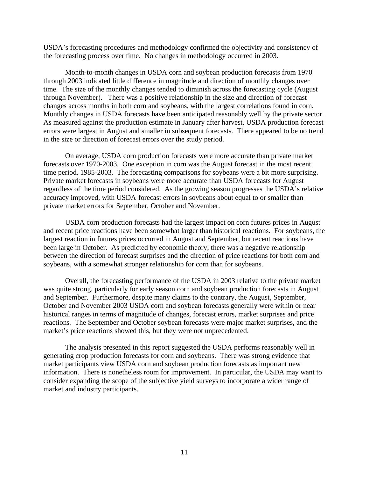USDA's forecasting procedures and methodology confirmed the objectivity and consistency of the forecasting process over time. No changes in methodology occurred in 2003.

Month-to-month changes in USDA corn and soybean production forecasts from 1970 through 2003 indicated little difference in magnitude and direction of monthly changes over time. The size of the monthly changes tended to diminish across the forecasting cycle (August through November). There was a positive relationship in the size and direction of forecast changes across months in both corn and soybeans, with the largest correlations found in corn. Monthly changes in USDA forecasts have been anticipated reasonably well by the private sector. As measured against the production estimate in January after harvest, USDA production forecast errors were largest in August and smaller in subsequent forecasts. There appeared to be no trend in the size or direction of forecast errors over the study period.

On average, USDA corn production forecasts were more accurate than private market forecasts over 1970-2003. One exception in corn was the August forecast in the most recent time period, 1985-2003. The forecasting comparisons for soybeans were a bit more surprising. Private market forecasts in soybeans were more accurate than USDA forecasts for August regardless of the time period considered. As the growing season progresses the USDA's relative accuracy improved, with USDA forecast errors in soybeans about equal to or smaller than private market errors for September, October and November.

USDA corn production forecasts had the largest impact on corn futures prices in August and recent price reactions have been somewhat larger than historical reactions. For soybeans, the largest reaction in futures prices occurred in August and September, but recent reactions have been large in October. As predicted by economic theory, there was a negative relationship between the direction of forecast surprises and the direction of price reactions for both corn and soybeans, with a somewhat stronger relationship for corn than for soybeans.

Overall, the forecasting performance of the USDA in 2003 relative to the private market was quite strong, particularly for early season corn and soybean production forecasts in August and September. Furthermore, despite many claims to the contrary, the August, September, October and November 2003 USDA corn and soybean forecasts generally were within or near historical ranges in terms of magnitude of changes, forecast errors, market surprises and price reactions. The September and October soybean forecasts were major market surprises, and the market's price reactions showed this, but they were not unprecedented.

The analysis presented in this report suggested the USDA performs reasonably well in generating crop production forecasts for corn and soybeans. There was strong evidence that market participants view USDA corn and soybean production forecasts as important new information. There is nonetheless room for improvement. In particular, the USDA may want to consider expanding the scope of the subjective yield surveys to incorporate a wider range of market and industry participants.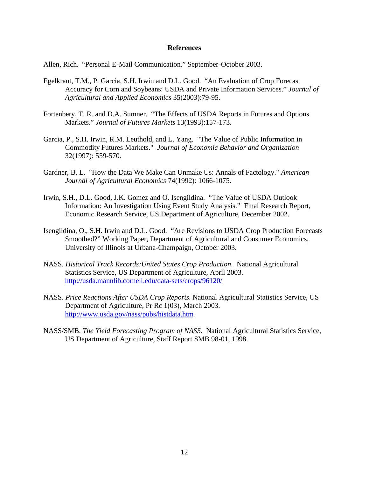# **References**

Allen, Rich. "Personal E-Mail Communication." September-October 2003.

- Egelkraut, T.M., P. Garcia, S.H. Irwin and D.L. Good. "An Evaluation of Crop Forecast Accuracy for Corn and Soybeans: USDA and Private Information Services." *Journal of Agricultural and Applied Economics* 35(2003):79-95.
- Fortenbery, T. R. and D.A. Sumner. "The Effects of USDA Reports in Futures and Options Markets." *Journal of Futures Markets* 13(1993):157-173.
- Garcia, P., S.H. Irwin, R.M. Leuthold, and L. Yang. "The Value of Public Information in Commodity Futures Markets." *Journal of Economic Behavior and Organization*  32(1997): 559-570.
- Gardner, B. L. "How the Data We Make Can Unmake Us: Annals of Factology." *American Journal of Agricultural Economics* 74(1992): 1066-1075.
- Irwin, S.H., D.L. Good, J.K. Gomez and O. Isengildina. "The Value of USDA Outlook Information: An Investigation Using Event Study Analysis." Final Research Report, Economic Research Service, US Department of Agriculture, December 2002.
- Isengildina, O., S.H. Irwin and D.L. Good. "Are Revisions to USDA Crop Production Forecasts Smoothed?" Working Paper, Department of Agricultural and Consumer Economics, University of Illinois at Urbana-Champaign, October 2003.
- NASS. *Historical Track Records:United States Crop Production*. National Agricultural Statistics Service, US Department of Agriculture, April 2003. <http://usda.mannlib.cornell.edu/data-sets/crops/96120/>
- NASS. *Price Reactions After USDA Crop Reports*. National Agricultural Statistics Service, US Department of Agriculture, Pr Rc 1(03), March 2003. [http://www.usda.gov/nass/pubs/histdata.htm.](http://www.usda.gov/nass/pubs/histdata.htm)
- NASS/SMB. *The Yield Forecasting Program of NASS*. National Agricultural Statistics Service, US Department of Agriculture, Staff Report SMB 98-01, 1998.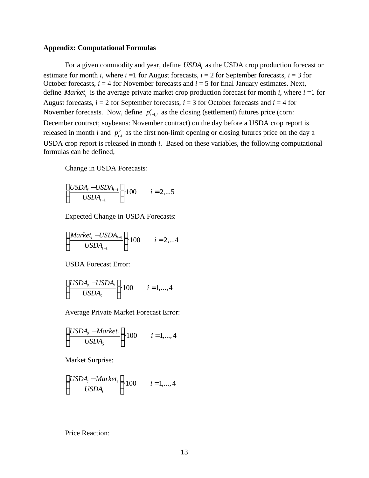# **Appendix: Computational Formulas**

For a given commodity and year, define *USDA<sup>i</sup>* as the USDA crop production forecast or estimate for month *i*, where  $i = 1$  for August forecasts,  $i = 2$  for September forecasts,  $i = 3$  for October forecasts,  $i = 4$  for November forecasts and  $i = 5$  for final January estimates. Next, define *Market<sub>i</sub>* is the average private market crop production forecast for month *i*, where  $i = 1$  for August forecasts,  $i = 2$  for September forecasts,  $i = 3$  for October forecasts and  $i = 4$  for November forecasts. Now, define  $p_{t-1,i}^c$  as the closing (settlement) futures price (corn: December contract; soybeans: November contract) on the day before a USDA crop report is released in month *i* and  $p_t^o$  $p_{t,i}^o$  as the first non-limit opening or closing futures price on the day a USDA crop report is released in month *i*. Based on these variables, the following computational formulas can be defined,

Change in USDA Forecasts:

$$
\left(\frac{USDA_i - USDA_{i-1}}{USDA_{i-1}}\right) \cdot 100 \qquad i = 2,...5
$$

Expected Change in USDA Forecasts:

$$
\left(\frac{Market_i - USDA_{i-1}}{USDA_{i-1}}\right) \cdot 100 \qquad i = 2,...4
$$

USDA Forecast Error:

$$
\left(\frac{USDA_5 - USDA_i}{USDA_5}\right) \cdot 100 \qquad i = 1,...,4
$$

Average Private Market Forecast Error:

$$
\left(\frac{USDA_5 - Market_i}{USDA_5}\right) \cdot 100 \qquad i = 1,...,4
$$

Market Surprise:

$$
\left(\frac{USDA_i - Market_i}{USDA_i}\right) \cdot 100 \qquad i = 1,...,4
$$

Price Reaction: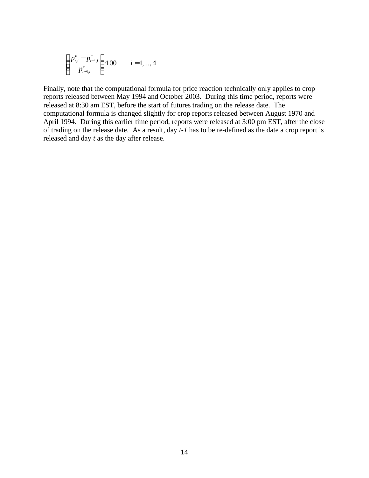$$
\left(\frac{p_{t,i}^o - p_{t-1,i}^c}{p_{t-1,i}^c}\right) 100 \qquad i = 1,...,4
$$

Finally, note that the computational formula for price reaction technically only applies to crop reports released between May 1994 and October 2003. During this time period, reports were released at 8:30 am EST, before the start of futures trading on the release date. The computational formula is changed slightly for crop reports released between August 1970 and April 1994. During this earlier time period, reports were released at 3:00 pm EST, after the close of trading on the release date. As a result, day *t-1* has to be re-defined as the date a crop report is released and day *t* as the day after release.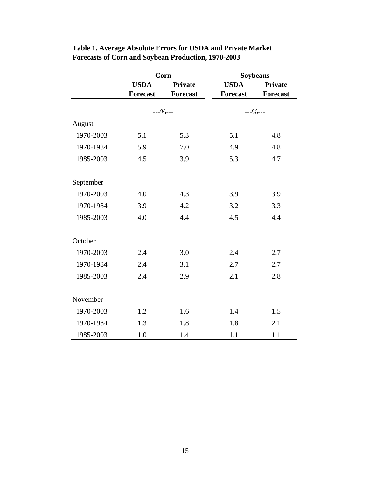|           |                 | Corn            | <b>Soybeans</b> |                 |  |
|-----------|-----------------|-----------------|-----------------|-----------------|--|
|           | <b>USDA</b>     | <b>Private</b>  | <b>USDA</b>     | <b>Private</b>  |  |
|           | <b>Forecast</b> | <b>Forecast</b> | <b>Forecast</b> | <b>Forecast</b> |  |
|           | $--\% --$       |                 | $--\% --$       |                 |  |
| August    |                 |                 |                 |                 |  |
| 1970-2003 | 5.1             | 5.3             | 5.1             | 4.8             |  |
| 1970-1984 | 5.9             | 7.0             | 4.9             | 4.8             |  |
| 1985-2003 | 4.5             | 3.9             | 5.3             | 4.7             |  |
| September |                 |                 |                 |                 |  |
| 1970-2003 | 4.0             | 4.3             | 3.9             | 3.9             |  |
| 1970-1984 | 3.9             | 4.2             | 3.2             | 3.3             |  |
| 1985-2003 | 4.0             | 4.4             | 4.5             | 4.4             |  |
| October   |                 |                 |                 |                 |  |
| 1970-2003 | 2.4             | 3.0             | 2.4             | 2.7             |  |
| 1970-1984 | 2.4             | 3.1             | 2.7             | 2.7             |  |
| 1985-2003 | 2.4             | 2.9             | 2.1             | 2.8             |  |
| November  |                 |                 |                 |                 |  |
| 1970-2003 | 1.2             | 1.6             | 1.4             | 1.5             |  |
| 1970-1984 | 1.3             | 1.8             | 1.8             | 2.1             |  |
| 1985-2003 | 1.0             | 1.4             | 1.1             | 1.1             |  |

**Table 1. Average Absolute Errors for USDA and Private Market Forecasts of Corn and Soybean Production, 1970-2003**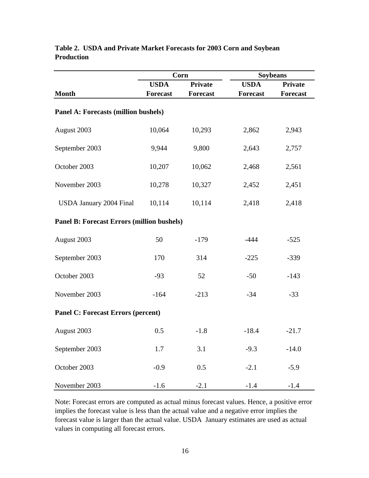|                                                   |                 | Corn            | <b>Soybeans</b> |                 |  |
|---------------------------------------------------|-----------------|-----------------|-----------------|-----------------|--|
|                                                   | <b>USDA</b>     | <b>Private</b>  | <b>USDA</b>     | <b>Private</b>  |  |
| <b>Month</b>                                      | <b>Forecast</b> | <b>Forecast</b> | <b>Forecast</b> | <b>Forecast</b> |  |
| <b>Panel A: Forecasts (million bushels)</b>       |                 |                 |                 |                 |  |
| August 2003                                       | 10,064          | 10,293          | 2,862           | 2,943           |  |
| September 2003                                    | 9,944           | 9,800           | 2,643           | 2,757           |  |
| October 2003                                      | 10,207          | 10,062          | 2,468           | 2,561           |  |
| November 2003                                     | 10,278          | 10,327          | 2,452           | 2,451           |  |
| <b>USDA January 2004 Final</b>                    | 10,114          | 10,114          | 2,418           | 2,418           |  |
| <b>Panel B: Forecast Errors (million bushels)</b> |                 |                 |                 |                 |  |
| August 2003                                       | 50              | $-179$          | $-444$          | $-525$          |  |
| September 2003                                    | 170             | 314             | $-225$          | $-339$          |  |
| October 2003                                      | $-93$           | 52              | $-50$           | $-143$          |  |
| November 2003                                     | $-164$          | $-213$          | $-34$           | $-33$           |  |
| <b>Panel C: Forecast Errors (percent)</b>         |                 |                 |                 |                 |  |
| August 2003                                       | 0.5             | $-1.8$          | $-18.4$         | $-21.7$         |  |
| September 2003                                    | 1.7             | 3.1             | $-9.3$          | $-14.0$         |  |
| October 2003                                      | $-0.9$          | 0.5             | $-2.1$          | $-5.9$          |  |
| November 2003                                     | $-1.6$          | $-2.1$          | $-1.4$          | $-1.4$          |  |

# **Table 2. USDA and Private Market Forecasts for 2003 Corn and Soybean Production**

Note: Forecast errors are computed as actual minus forecast values. Hence, a positive error implies the forecast value is less than the actual value and a negative error implies the forecast value is larger than the actual value. USDA January estimates are used as actual values in computing all forecast errors.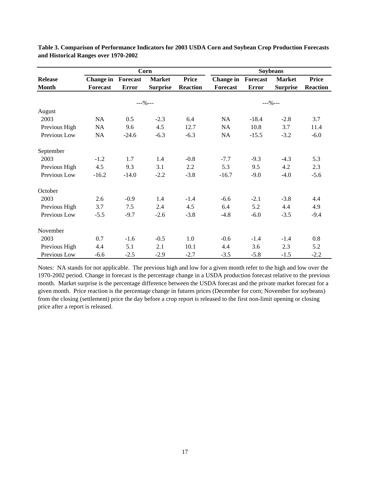|                | Corn                      |              |                 | <b>Soybeans</b> |                           |              |                 |                 |
|----------------|---------------------------|--------------|-----------------|-----------------|---------------------------|--------------|-----------------|-----------------|
| <b>Release</b> | <b>Change in Forecast</b> |              | <b>Market</b>   | <b>Price</b>    | <b>Change in Forecast</b> |              | <b>Market</b>   | <b>Price</b>    |
| <b>Month</b>   | Forecast                  | <b>Error</b> | <b>Surprise</b> | <b>Reaction</b> | Forecast                  | <b>Error</b> | <b>Surprise</b> | <b>Reaction</b> |
|                |                           |              |                 |                 |                           |              |                 |                 |
|                |                           | $---96---$   |                 |                 | $---96---$                |              |                 |                 |
| August         |                           |              |                 |                 |                           |              |                 |                 |
| 2003           | NA                        | 0.5          | $-2.3$          | 6.4             | NA                        | $-18.4$      | $-2.8$          | 3.7             |
| Previous High  | NA                        | 9.6          | 4.5             | 12.7            | NA                        | 10.8         | 3.7             | 11.4            |
| Previous Low   | NA                        | $-24.6$      | $-6.3$          | $-6.3$          | NA                        | $-15.5$      | $-3.2$          | $-6.0$          |
| September      |                           |              |                 |                 |                           |              |                 |                 |
| 2003           | $-1.2$                    | 1.7          | 1.4             | $-0.8$          | $-7.7$                    | $-9.3$       | $-4.3$          | 5.3             |
| Previous High  | 4.5                       | 9.3          | 3.1             | 2.2             | 5.3                       | 9.5          | 4.2             | 2.3             |
| Previous Low   | $-16.2$                   | $-14.0$      | $-2.2$          | $-3.8$          | $-16.7$                   | $-9.0$       | $-4.0$          | $-5.6$          |
| October        |                           |              |                 |                 |                           |              |                 |                 |
| 2003           | 2.6                       | $-0.9$       | 1.4             | $-1.4$          | $-6.6$                    | $-2.1$       | $-3.8$          | 4.4             |
| Previous High  | 3.7                       | 7.5          | 2.4             | 4.5             | 6.4                       | 5.2          | 4.4             | 4.9             |
| Previous Low   | $-5.5$                    | $-9.7$       | $-2.6$          | $-3.8$          | $-4.8$                    | $-6.0$       | $-3.5$          | $-9.4$          |
| November       |                           |              |                 |                 |                           |              |                 |                 |
| 2003           | 0.7                       | $-1.6$       | $-0.5$          | 1.0             | $-0.6$                    | $-1.4$       | $-1.4$          | $0.8\,$         |
| Previous High  | 4.4                       | 5.1          | 2.1             | 10.1            | 4.4                       | 3.6          | 2.3             | 5.2             |
| Previous Low   | $-6.6$                    | $-2.5$       | $-2.9$          | $-2.7$          | $-3.5$                    | $-5.8$       | $-1.5$          | $-2.2$          |

**Table 3. Comparison of Performance Indicators for 2003 USDA Corn and Soybean Crop Production Forecasts and Historical Ranges over 1970-2002**

Notes: NA stands for not applicable. The previous high and low for a given month refer to the high and low over the 1970-2002 period. Change in forecast is the percentage change in a USDA production forecast relative to the previous month. Market surprise is the percentage difference between the USDA forecast and the private market forecast for a given month. Price reaction is the percentage change in futures prices (December for corn; November for soybeans) from the closing (settlement) price the day before a crop report is released to the first non-limit opening or closing price after a report is released.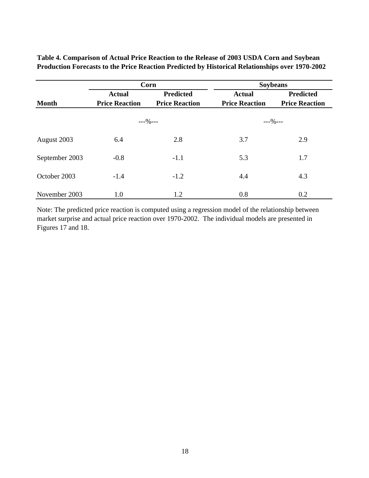**Table 4. Comparison of Actual Price Reaction to the Release of 2003 USDA Corn and Soybean Production Forecasts to the Price Reaction Predicted by Historical Relationships over 1970-2002**

|                |                                                | Corn             | <b>Soybeans</b>       |                       |  |
|----------------|------------------------------------------------|------------------|-----------------------|-----------------------|--|
|                | <b>Actual</b>                                  | <b>Predicted</b> | <b>Actual</b>         | Predicted             |  |
| <b>Month</b>   | <b>Price Reaction</b><br><b>Price Reaction</b> |                  | <b>Price Reaction</b> | <b>Price Reaction</b> |  |
|                | $---\%---$                                     |                  | $---9$ ---            |                       |  |
| August 2003    | 6.4                                            | 2.8              | 3.7                   | 2.9                   |  |
| September 2003 | $-0.8$                                         | $-1.1$           | 5.3                   | 1.7                   |  |
| October 2003   | $-1.4$                                         | $-1.2$           | 4.4                   | 4.3                   |  |
| November 2003  | 1.0                                            | 1.2              | 0.8                   | 0.2                   |  |

Note: The predicted price reaction is computed using a regression model of the relationship between market surprise and actual price reaction over 1970-2002. The individual models are presented in Figures 17 and 18.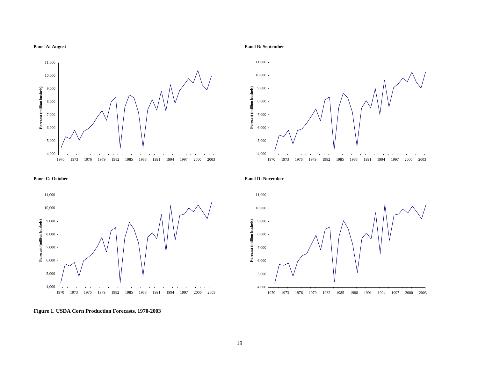

**Panel A: August Panel B: September**





**Figure 1. USDA Corn Production Forecasts, 1970-2003**

### **Panel C: October Panel D: November**

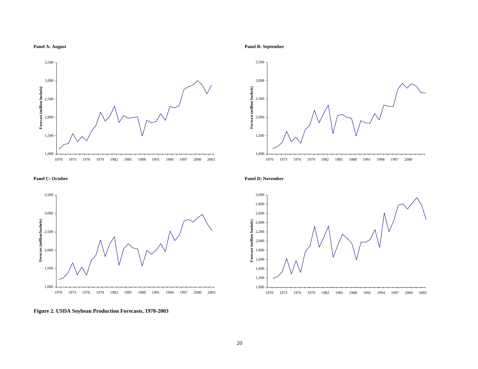



### **Panel C: October Panel D: November**





**Figure 2. USDA Soybean Production Forecasts, 1970-2003**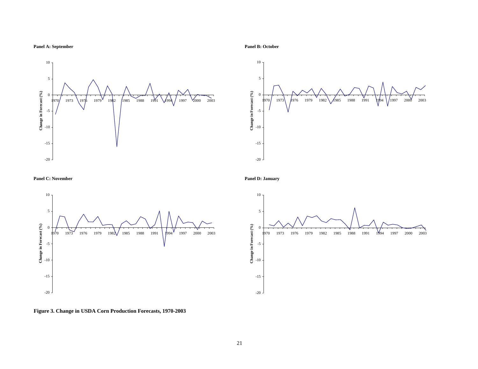**Panel A: September Panel B: October**



 $-20$ -15 -10 -5  $\mathbf{0}$ 5 970 1973 1976 1979 1982 1985 1988 1991 1994 1997 2000 2003 **Change in Forecast (%)**

**Panel C: November Panel D: January**



10



**Figure 3. Change in USDA Corn Production Forecasts, 1970-2003**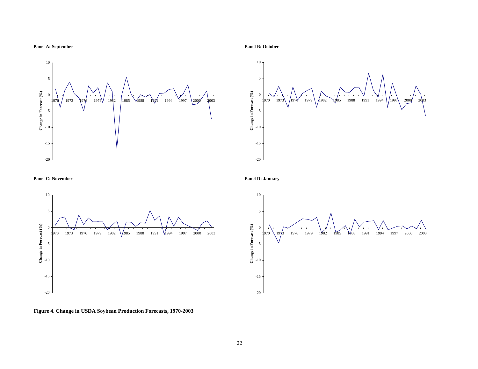





### **Panel C: November Panel D: January**





**Figure 4. Change in USDA Soybean Production Forecasts, 1970-2003**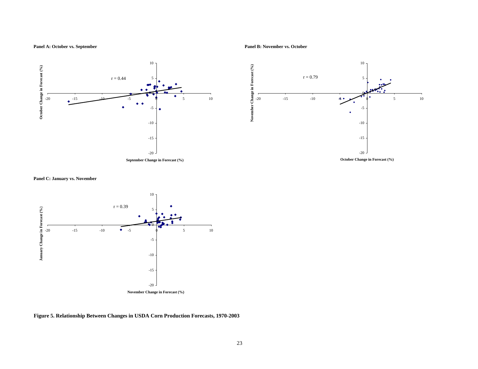**Panel A: October vs. September Panel B: November vs. October**



**Panel C: January vs. November**



**Figure 5. Relationship Between Changes in USDA Corn Production Forecasts, 1970-2003**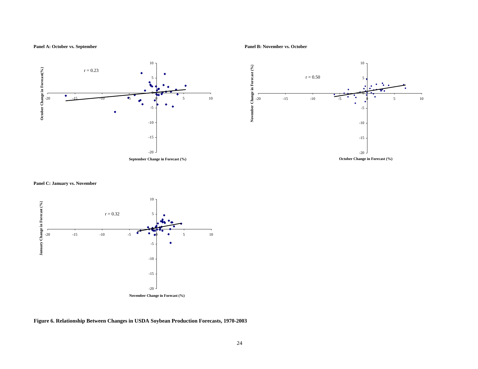Panel A: October vs. September **Panel A: October vs. October** Panel B: November vs. October



### **Panel C: January vs. November**



**Figure 6. Relationship Between Changes in USDA Soybean Production Forecasts, 1970-2003**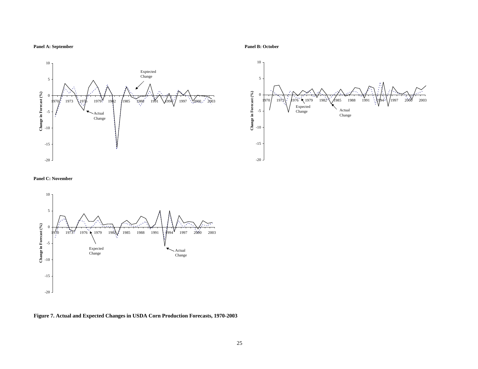### Panel A: September Panel B: October Panel B: October





### **Panel C: November**



**Figure 7. Actual and Expected Changes in USDA Corn Production Forecasts, 1970-2003**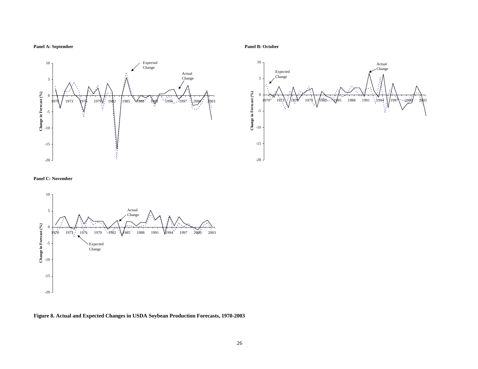10 Expected Change Actual 5 Change Change in Forecast  $(^{\rm o}\!/_{\rm 0})$ **Change in Forecast (%)** 0 1973 \\97\$ 1979\\; 19\$2 |1985 \4988 1\991 \1994 1997 \\2000'; 1003 -5 -10 -15 -20





### **Panel C: November**



**Figure 8. Actual and Expected Changes in USDA Soybean Production Forecasts, 1970-2003**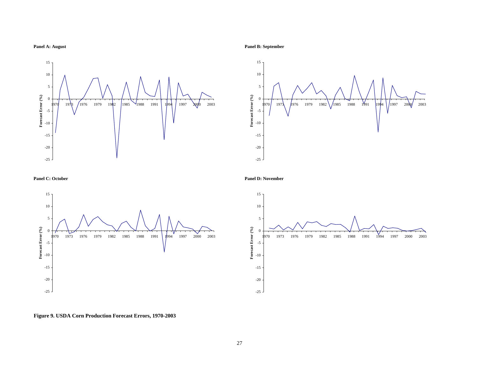







**Panel A: August Panel B: September**







**Figure 9. USDA Corn Production Forecast Errors, 1970-2003**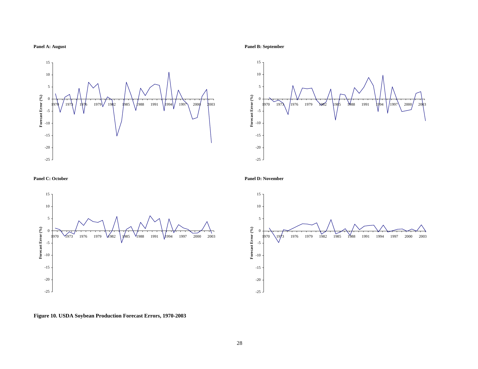







### **Panel C: October Panel D: November**



**Figure 10. USDA Soybean Production Forecast Errors, 1970-2003**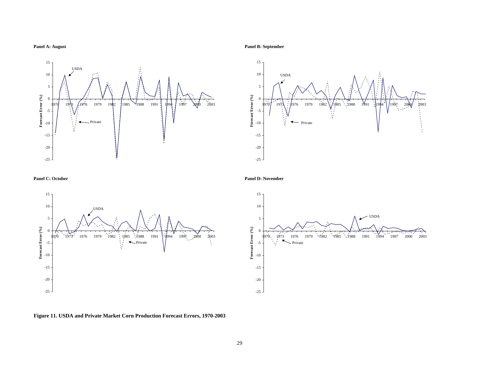









**Figure 11. USDA and Private Market Corn Production Forecast Errors, 1970-2003**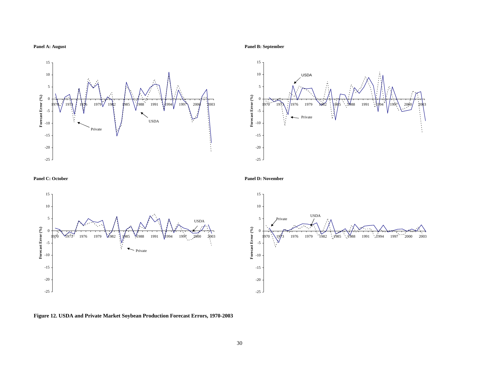

# 15





### **Panel C: October Panel D: November**



**Figure 12. USDA and Private Market Soybean Production Forecast Errors, 1970-2003**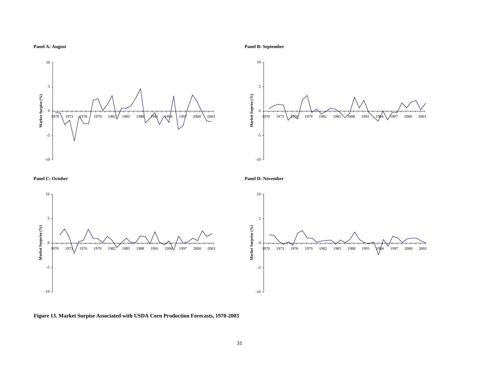









**Figure 13. Market Surpise Associated with USDA Corn Production Forecasts, 1970-2003**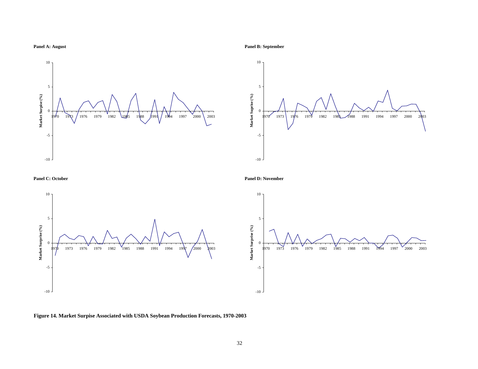









**Figure 14. Market Surpise Associated with USDA Soybean Production Forecasts, 1970-2003**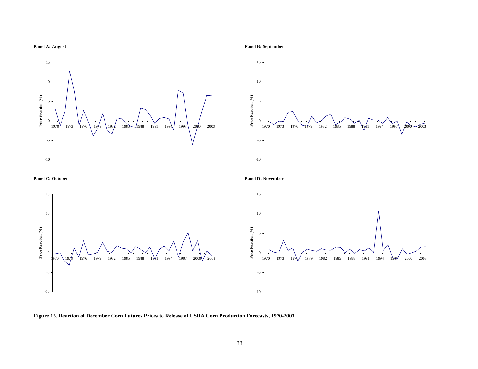







**Panel C: October Panel D: November**



**Figure 15. Reaction of December Corn Futures Prices to Release of USDA Corn Production Forecasts, 1970-2003**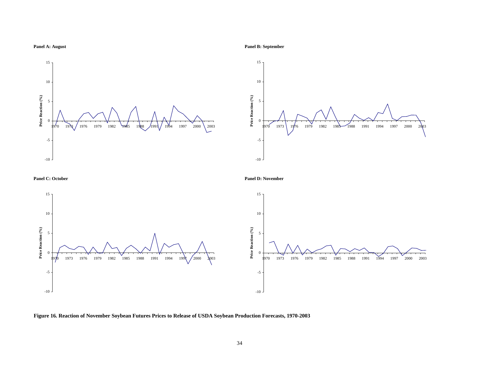





**Panel C: October Panel D: November**



**Figure 16. Reaction of November Soybean Futures Prices to Release of USDA Soybean Production Forecasts, 1970-2003**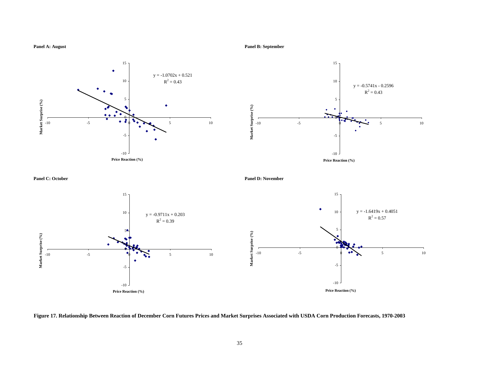